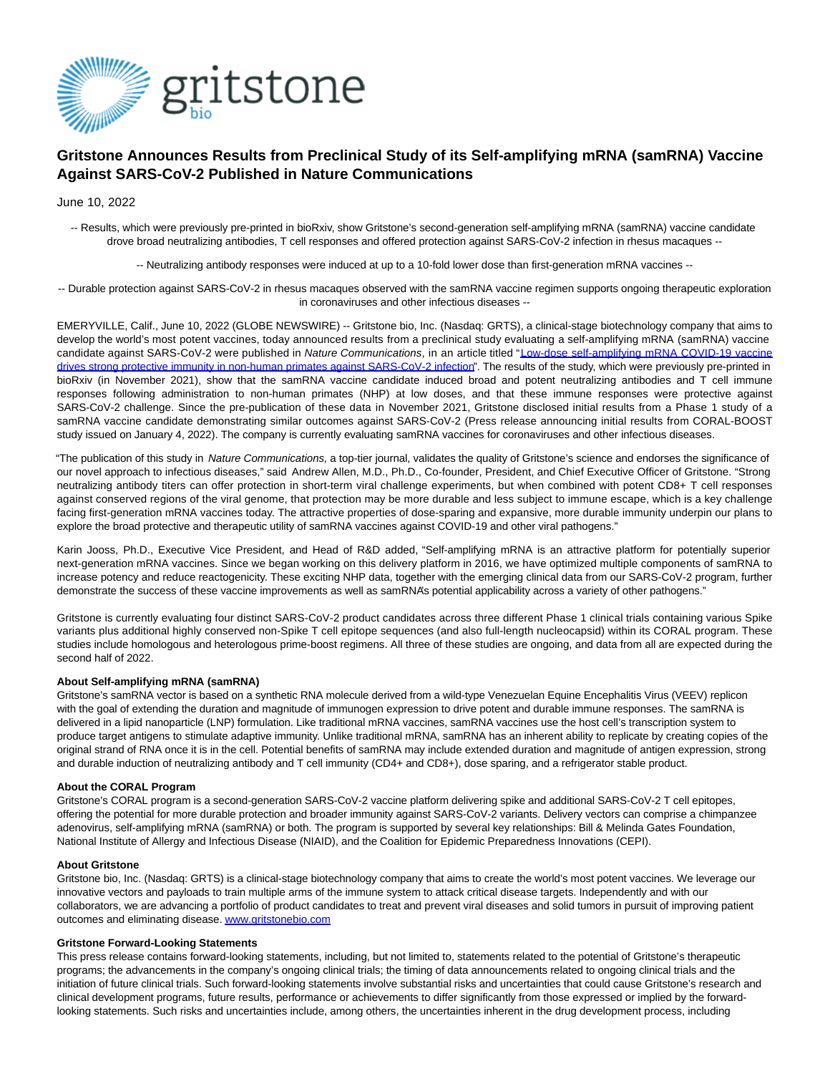

# **Gritstone Announces Results from Preclinical Study of its Self-amplifying mRNA (samRNA) Vaccine Against SARS-CoV-2 Published in Nature Communications**

June 10, 2022

-- Results, which were previously pre-printed in bioRxiv, show Gritstone's second-generation self-amplifying mRNA (samRNA) vaccine candidate drove broad neutralizing antibodies, T cell responses and offered protection against SARS-CoV-2 infection in rhesus macaques --

-- Neutralizing antibody responses were induced at up to a 10-fold lower dose than first-generation mRNA vaccines --

-- Durable protection against SARS-CoV-2 in rhesus macaques observed with the samRNA vaccine regimen supports ongoing therapeutic exploration in coronaviruses and other infectious diseases --

EMERYVILLE, Calif., June 10, 2022 (GLOBE NEWSWIRE) -- Gritstone bio, Inc. (Nasdaq: GRTS), a clinical-stage biotechnology company that aims to develop the world's most potent vaccines, today announced results from a preclinical study evaluating a self-amplifying mRNA (samRNA) vaccine candidate against SARS-CoV-2 were published in Nature Communications, in an article titled ["Low-dose self-amplifying mRNA COVID-19 vaccine](https://www.globenewswire.com/Tracker?data=K1GPWnW1Z7tVPmu6QLOcZey9wpuWIeic1tLX6oYa8xEnRMcao0vouRcGHBsqJJ-4tq3-gOGWMaEEJzK3bWNnL-6moqo7ogNhVH7boTFGU0IKMSPY9jsA-Bje2D6qeJ7cu00Dbr2r3mu4c1GlXs3NYZqB6bZLoEoq2RAK0k4_3v_UAhQnuJ11wwoO_Wr-WvL4MCuZxBqqN83DQ0EiEWYmkdQCn-ZEoaXT1EfidynMSJKL54RR3mwNOerCCH0edLyfBOsqnDXgMbS_EDkbrmuaaQ==) drives strong protective immunity in non-human primates against SARS-CoV-2 infection". The results of the study, which were previously pre-printed in bioRxiv (in November 2021), show that the samRNA vaccine candidate induced broad and potent neutralizing antibodies and T cell immune responses following administration to non-human primates (NHP) at low doses, and that these immune responses were protective against SARS-CoV-2 challenge. Since the pre-publication of these data in November 2021, Gritstone disclosed initial results from a Phase 1 study of a samRNA vaccine candidate demonstrating similar outcomes against SARS-CoV-2 (Press release announcing initial results from CORAL-BOOST study issued on January 4, 2022). The company is currently evaluating samRNA vaccines for coronaviruses and other infectious diseases.

"The publication of this study in Nature Communications, a top-tier journal, validates the quality of Gritstone's science and endorses the significance of our novel approach to infectious diseases," said Andrew Allen, M.D., Ph.D., Co-founder, President, and Chief Executive Officer of Gritstone. "Strong neutralizing antibody titers can offer protection in short-term viral challenge experiments, but when combined with potent CD8+ T cell responses against conserved regions of the viral genome, that protection may be more durable and less subject to immune escape, which is a key challenge facing first-generation mRNA vaccines today. The attractive properties of dose-sparing and expansive, more durable immunity underpin our plans to explore the broad protective and therapeutic utility of samRNA vaccines against COVID-19 and other viral pathogens."

Karin Jooss, Ph.D., Executive Vice President, and Head of R&D added, "Self-amplifying mRNA is an attractive platform for potentially superior next-generation mRNA vaccines. Since we began working on this delivery platform in 2016, we have optimized multiple components of samRNA to increase potency and reduce reactogenicity. These exciting NHP data, together with the emerging clinical data from our SARS-CoV-2 program, further demonstrate the success of these vaccine improvements as well as samRNA's potential applicability across a variety of other pathogens."

Gritstone is currently evaluating four distinct SARS-CoV-2 product candidates across three different Phase 1 clinical trials containing various Spike variants plus additional highly conserved non-Spike T cell epitope sequences (and also full-length nucleocapsid) within its CORAL program. These studies include homologous and heterologous prime-boost regimens. All three of these studies are ongoing, and data from all are expected during the second half of 2022.

#### **About Self-amplifying mRNA (samRNA)**

Gritstone's samRNA vector is based on a synthetic RNA molecule derived from a wild-type Venezuelan Equine Encephalitis Virus (VEEV) replicon with the goal of extending the duration and magnitude of immunogen expression to drive potent and durable immune responses. The samRNA is delivered in a lipid nanoparticle (LNP) formulation. Like traditional mRNA vaccines, samRNA vaccines use the host cell's transcription system to produce target antigens to stimulate adaptive immunity. Unlike traditional mRNA, samRNA has an inherent ability to replicate by creating copies of the original strand of RNA once it is in the cell. Potential benefits of samRNA may include extended duration and magnitude of antigen expression, strong and durable induction of neutralizing antibody and T cell immunity (CD4+ and CD8+), dose sparing, and a refrigerator stable product.

### **About the CORAL Program**

Gritstone's CORAL program is a second-generation SARS-CoV-2 vaccine platform delivering spike and additional SARS-CoV-2 T cell epitopes, offering the potential for more durable protection and broader immunity against SARS-CoV-2 variants. Delivery vectors can comprise a chimpanzee adenovirus, self-amplifying mRNA (samRNA) or both. The program is supported by several key relationships: Bill & Melinda Gates Foundation, National Institute of Allergy and Infectious Disease (NIAID), and the Coalition for Epidemic Preparedness Innovations (CEPI).

#### **About Gritstone**

Gritstone bio, Inc. (Nasdaq: GRTS) is a clinical-stage biotechnology company that aims to create the world's most potent vaccines. We leverage our innovative vectors and payloads to train multiple arms of the immune system to attack critical disease targets. Independently and with our collaborators, we are advancing a portfolio of product candidates to treat and prevent viral diseases and solid tumors in pursuit of improving patient outcomes and eliminating disease[. www.gritstonebio.com](https://www.globenewswire.com/Tracker?data=z6d0id1iC_BbCUSMeEN5_Kh_l6EjkrGi03MCB6t2-wADOKy0P53ly1J2EWpTulceHdPh6FzPGP7Vfnu8wRr1NFznOrVLZjBPoO9iQbx16yA=)

## **Gritstone Forward-Looking Statements**

This press release contains forward-looking statements, including, but not limited to, statements related to the potential of Gritstone's therapeutic programs; the advancements in the company's ongoing clinical trials; the timing of data announcements related to ongoing clinical trials and the initiation of future clinical trials. Such forward-looking statements involve substantial risks and uncertainties that could cause Gritstone's research and clinical development programs, future results, performance or achievements to differ significantly from those expressed or implied by the forwardlooking statements. Such risks and uncertainties include, among others, the uncertainties inherent in the drug development process, including